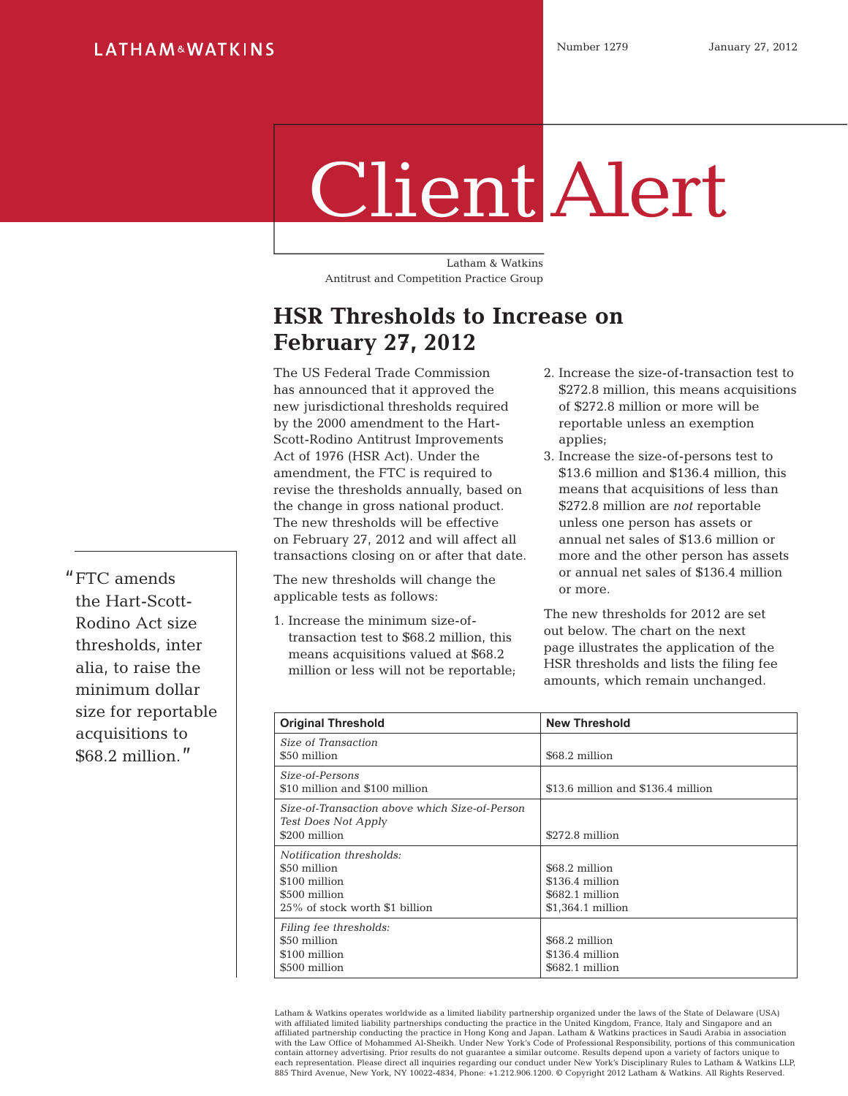## Client Alert

Latham & Watkins Antitrust and Competition Practice Group

## **HSR Thresholds to Increase on February 27, 2012**

The US Federal Trade Commission has announced that it approved the new jurisdictional thresholds required by the 2000 amendment to the Hart-Scott-Rodino Antitrust Improvements Act of 1976 (HSR Act). Under the amendment, the FTC is required to revise the thresholds annually, based on the change in gross national product. The new thresholds will be effective on February 27, 2012 and will affect all transactions closing on or after that date.

The new thresholds will change the applicable tests as follows:

1. Increase the minimum size-oftransaction test to \$68.2 million, this means acquisitions valued at \$68.2 million or less will not be reportable;

- 2. Increase the size-of-transaction test to \$272.8 million, this means acquisitions of \$272.8 million or more will be reportable unless an exemption applies;
- 3. Increase the size-of-persons test to \$13.6 million and \$136.4 million, this means that acquisitions of less than \$272.8 million are *not* reportable unless one person has assets or annual net sales of \$13.6 million or more and the other person has assets or annual net sales of \$136.4 million or more.

The new thresholds for 2012 are set out below. The chart on the next page illustrates the application of the HSR thresholds and lists the filing fee amounts, which remain unchanged.

| <b>Original Threshold</b>                                                                                    | <b>New Threshold</b>                                                       |
|--------------------------------------------------------------------------------------------------------------|----------------------------------------------------------------------------|
| Size of Transaction<br>\$50 million                                                                          | \$68.2 million                                                             |
| Size-of-Persons<br>\$10 million and \$100 million                                                            | \$13.6 million and \$136.4 million                                         |
| Size-of-Transaction above which Size-of-Person<br>Test Does Not Apply<br>\$200 million                       | \$272.8 million                                                            |
| Notification thresholds:<br>\$50 million<br>\$100 million<br>\$500 million<br>25% of stock worth \$1 billion | \$68.2 million<br>$$136.4$ million<br>\$682.1 million<br>\$1,364.1 million |
| Filing fee thresholds:<br>\$50 million<br>\$100 million<br>\$500 million                                     | \$68.2 million<br>\$136.4 million<br>\$682.1 million                       |

Latham & Watkins operates worldwide as a limited liability partnership organized under the laws of the State of Delaware (USA) with affiliated limited liability partnerships conducting the practice in the United Kingdom, France, Italy and Singapore and an affiliated partnership conducting the practice in Hong Kong and Japan. Latham & Watkins practices in Saudi Arabia in association with the Law Office of Mohammed Al-Sheikh. Under New York's Code of Professional Responsibility, portions of this communication<br>contain attorney advertising. Prior results do not quarantee a similar outcome. Results depend each representation. Please direct all inquiries regarding our conduct under New York's Disciplinary Rules to Latham & Watkins LLP, 885 Third Avenue, New York, NY 10022-4834, Phone: +1.212.906.1200. © Copyright 2012 Latham & Watkins. All Rights Reserved.

"FTC amends the Hart-Scott-Rodino Act size thresholds, inter alia, to raise the minimum dollar size for reportable acquisitions to \$68.2 million."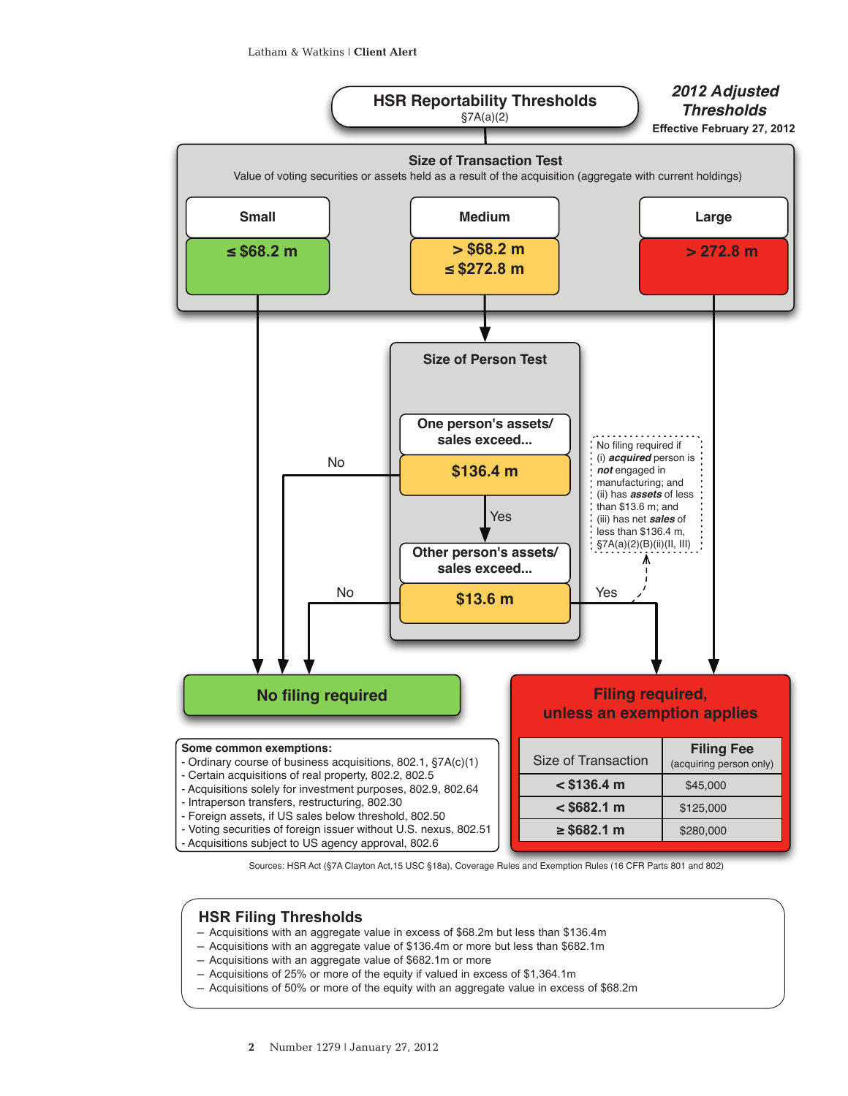

Sources: HSR Act (§7A Clayton Act,15 USC §18a), Coverage Rules and Exemption Rules (16 CFR Parts 801 and 802)

## **HSR Filing Thresholds**

- ─ Acquisitions with an aggregate value in excess of \$68.2m but less than \$136.4m
- ─ Acquisitions with an aggregate value of \$136.4m or more but less than \$682.1m
- ─ Acquisitions with an aggregate value of \$682.1m or more
- ─ Acquisitions of 25% or more of the equity if valued in excess of \$1,364.1m
- ─ Acquisitions of 50% or more of the equity with an aggregate value in excess of \$68.2m